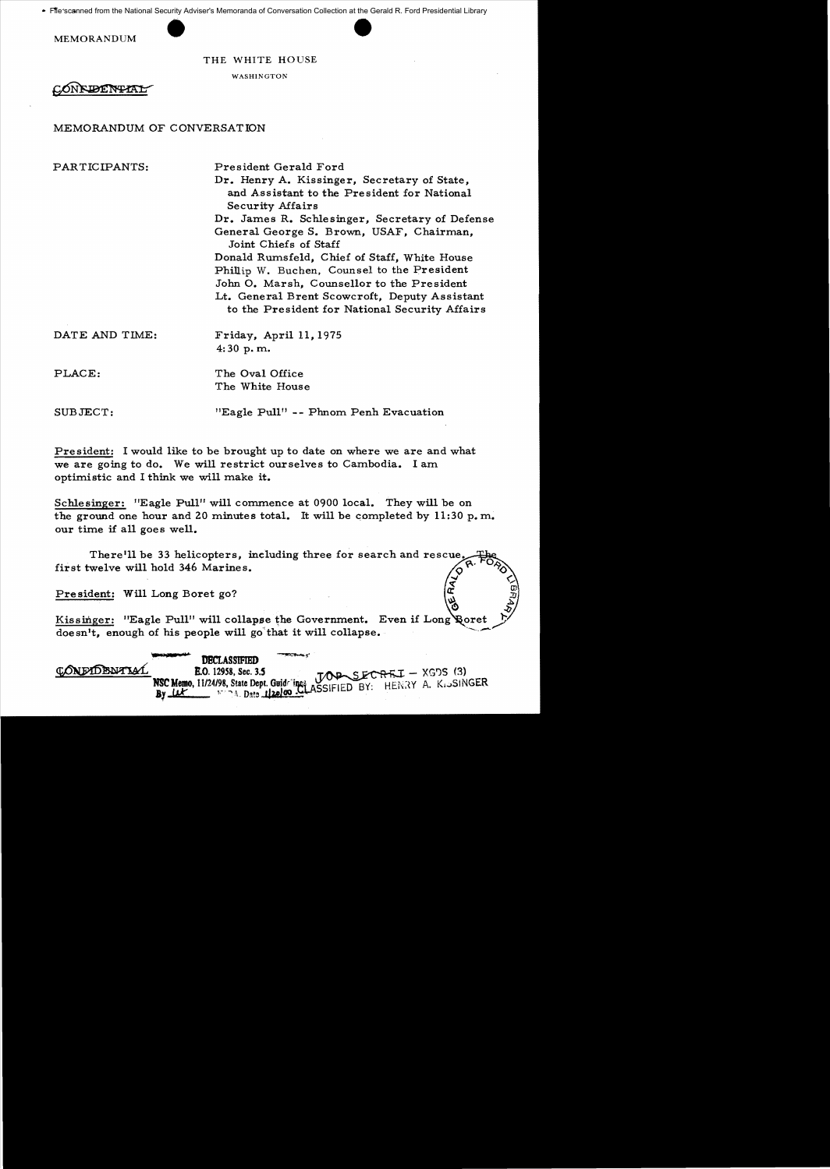• File'scanned from the National Security Adviser's Memoranda of Conversation Collection at the Gerald R. Ford Presidential Library

MEMORANDUM

THE WHITE HOUSE

WASHINGTON

CONFIDENTAL

## MEMORANDUM OF CONVERSATION

PARTICIPANTS: President Gerald Ford

Dr. Henry A. Kissinger, Secretary of State, and Assistant to the President for National Security Mfairs

Dr. James R. Schlesinger, Secretary of Defense General George S. Brown, USAF, Chairman, Joint Chiefs of Staff

Donald Rumsfeld, Chief of Staff, White House Phillip W. Buchen, Counsel to the President John O. Marsh, Counsellor to the President Lt. General Brent Scowcroft, Deputy Assistant to the President for National Security Affairs

DATE AND TIME: Friday, April 11, 1975 4: 30 p. m.

PLACE: The Oval Office The White House

SUBJECT: "Eagle Pull" -- Phnom Penh Evacuation

President: I would like to be brought up to date on where we are and what we are going to do. We will restrict ourselves to Cambodia. I am optimistic and I think we wi11 make it.

Schlesinger: "Eagle Pull" will commence at 0900 local. They will be on the ground one hour and 20 minutes total. It will be completed by  $11:30 \text{ p. m.}$ our time if all goes well.

There'll be 33 helicopters, including three for search and rescue first twelve will hold 346 Marines.

President: Will Long Boret go?

|              | Kissinger: "Eagle Pull" will collapse the Government. Even if Long Poret<br>doesn't, enough of his people will go that it will collapse.              |  |  |
|--------------|-------------------------------------------------------------------------------------------------------------------------------------------------------|--|--|
| CONFIDENTIAL | <b>DECLASSIFIED</b><br>NSC Memo, 11/24/98, State Dept. Guide ines JOB SECREI - XGDS (3)<br>By Let Find Date 112a100 CLASSIFIED BY: HENRY A. KISSINGER |  |  |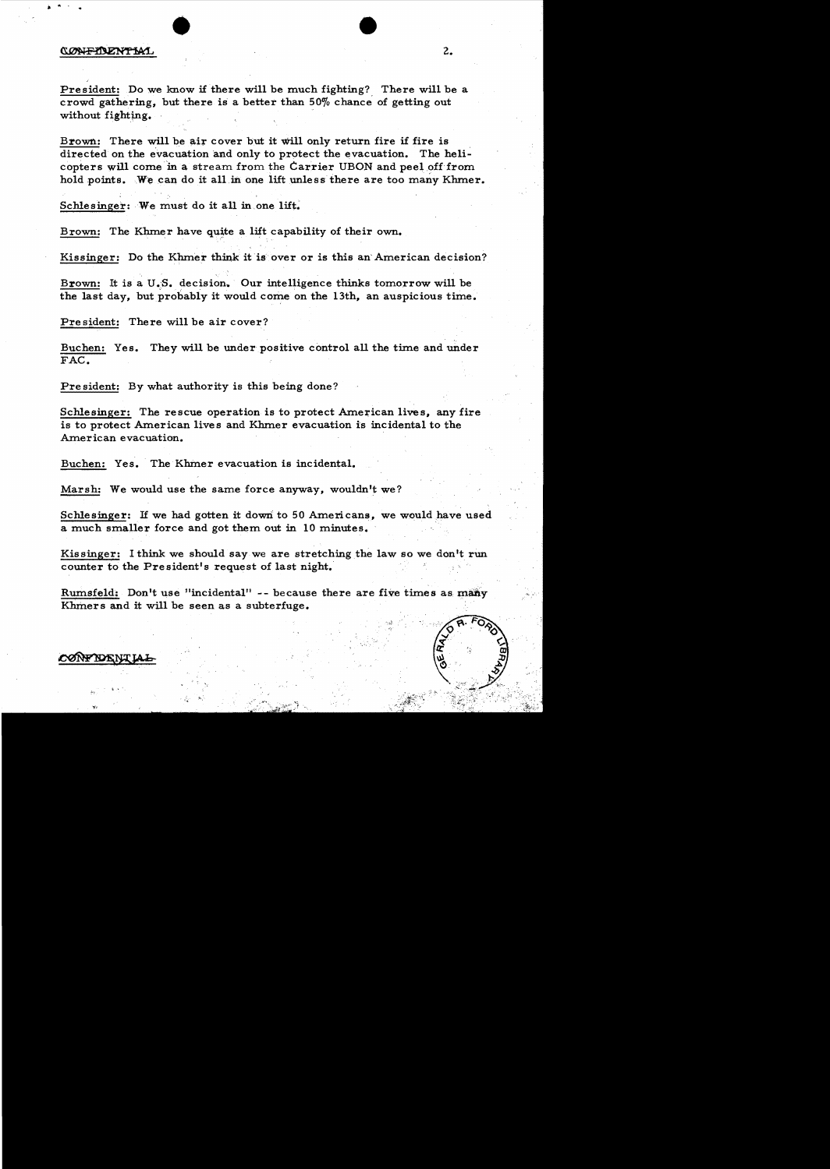## CONFIDENTIAL 2.

President: Do we know if there will be much fighting? There will be a crowd gathering, but there is a better than 50% chance of getting out without fighting.

Brown.: There will be air cover but it will only return fire if fire is directed on the evacuation and only to protect the evacuation. The helicopters will come in a stream from the Carrier UBON and peel off from hold points. We can do it all in one lift unless there are too many Khmer.

Schlesinger: We must do it all in one lift.

Brown: The Khmer have quite a lift capability of their own.

Kissinger: Do the Khmer think it is over or is this an' American decision?

Brown: It is a U.S. decision. Our intelligence thinks tomorrow will be the last day, but probably it would come on the 13th, an auspicious time.

Pre sident: There will be air cover?

Buchen: Yes. They will be under positive control all the time and under FAC.

Pre sident: By what authority is this being done?

Schlesinger: The rescue operation is to protect American lives, any fire is to protect American lives and Khmer evacuation is incidental to the American evacuation.

Buchen: Yes. The Khmer evacuation is incidental.

Marsh: We would use the same force anyway, wouldn't we?

Schlesinger: If we had gotten it down to 50 Americans, we would have used a much smaller force and got them out in 10 minutes.

Kissinger: I think we should say we are stretching the law so we don't run counter to the President's request of last night.

Rumsfeld: Don't use "incidental" -- because there are five times as many Khmers and it will be seen as a subterfuge.



## CØNF IDENT.

,<br>6 x <sup>4</sup> .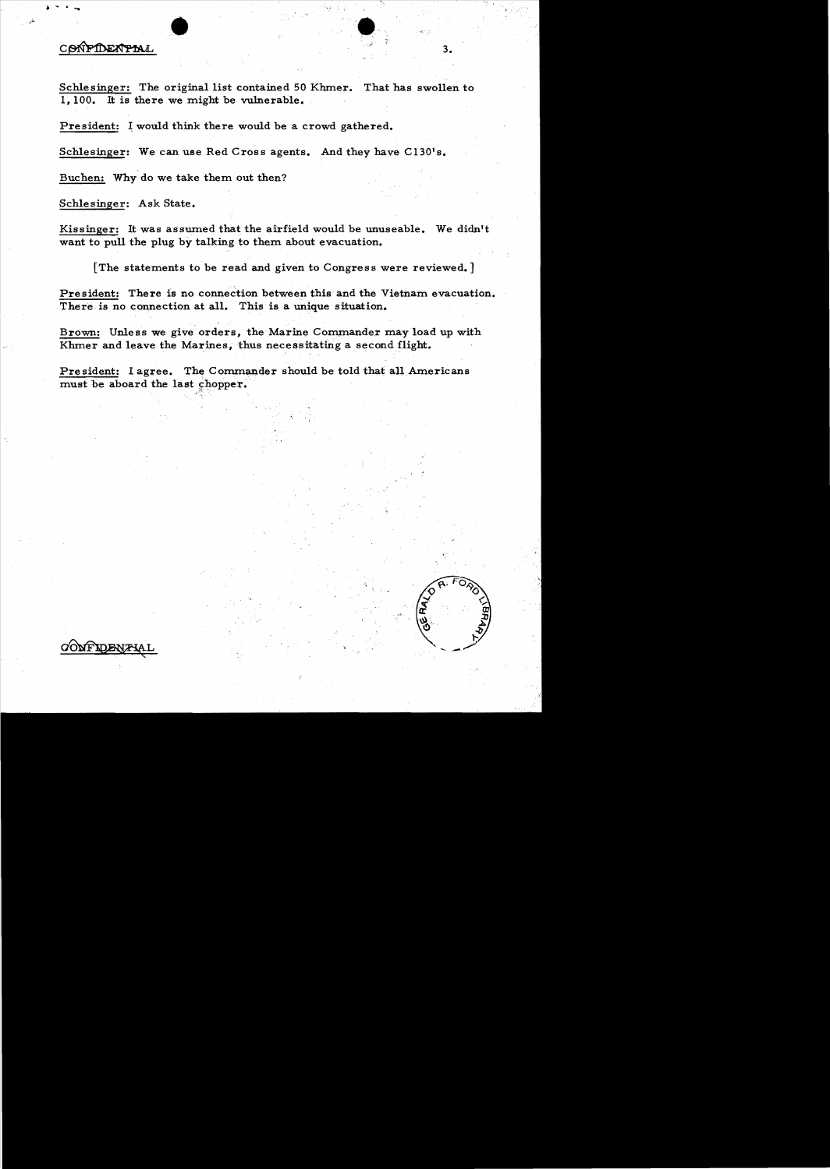## COMPIDENTIAL 3.

Schlesinger: The original list contained 50 Khmer. That has swollen to 1,100. It is there we might be vulnerable.

President: I would think there would be a crowd gathered.

Schlesinger: We can use Red Cross agents. And they have C130's.

Buchen: Why do we take them out then?

Schlesinger: Ask State.

Kissinger: It was assumed that the airfield would be unuseable. We didn't want to pull the plug by talking to them about evacuation.

[The statements to be read and given to Congress were reviewed.]

President: There is no connection between this and the Vietnam evacuation. There is no connection at all. This is a unique situation.

Brown: Unless we give orders, the Marine Commander may load up with Khmer and leave the Marines, thus necessitating a second flight.

President: I agree. The Commander should be told that all Americans must be aboard the last chopper.

**CONFIDENTIA** 

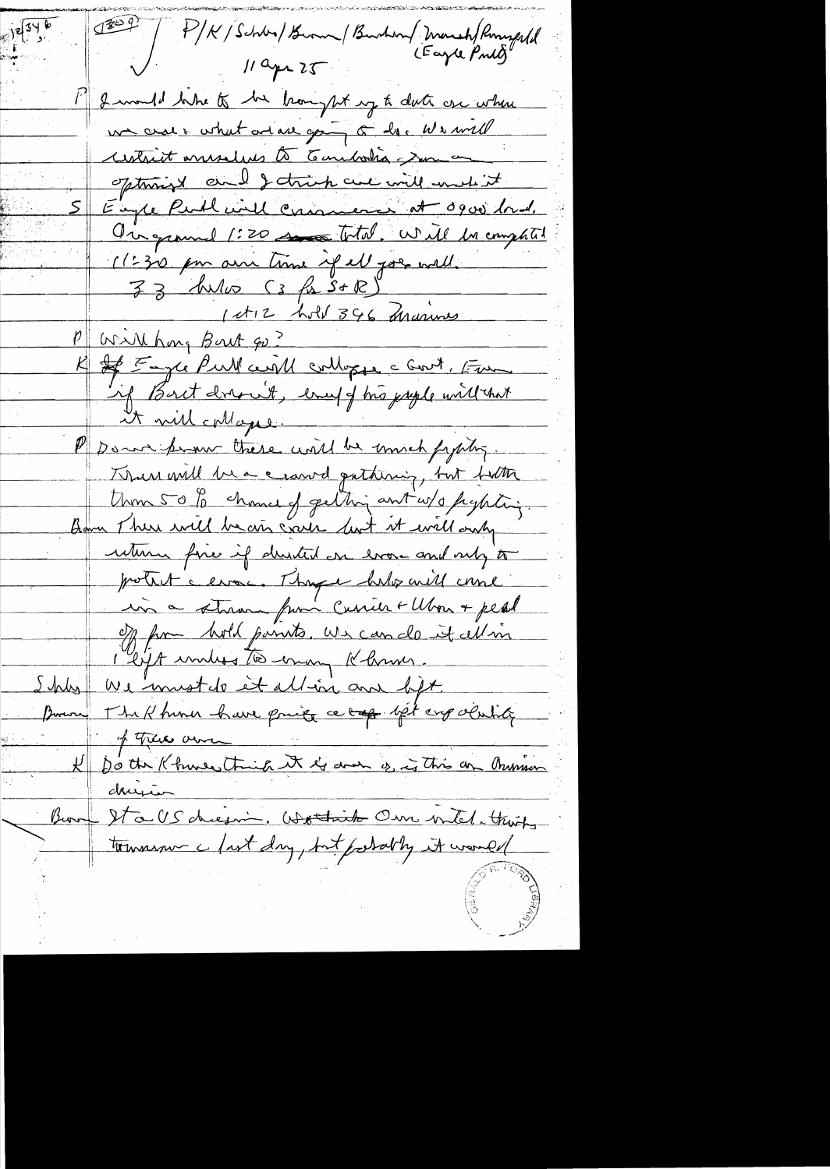P/K/Schba/Burn / Burhan/ Monsh/Rompfld<br>11 ans 25  $11$  apr  $25$ 1) I would like to be bought up to date one where un croir what and are going of her we will untrist museles to Combodia som on optimized and I think are will write it Eugle Published camero at 0900 lord. Ourgement 1:20 so total. Will be emphal 11:30 pm am time of all goes well. 33 Aulio (3 fr S+R) 1 et 12 hold 346 Arasines P Will hong Bout qu? K Je Emple Pull certif colloge c Godt, Fun if Bort drew't, every of his psyle will that it will collaps : Pp Down prome there until he mich fighting. Thur will be a crawd pathining, but firth Union 50 to chance of getting ant w/o paytiting. Bom There will be air crack but at well only uturn fine if durited on every and only to protect cleane. Though help will come in a stran from Curier + Ubon + peal of from hold points, we can do it all in 1 lift united to enough Khrmer. hly we must do et allin am lift. The Khimin have price a top let enpolisis Prove of there am K both Khures think it is done of is this on Munion <u>derrien</u> Bour Stalsdiesni, Wothich Our intel. thing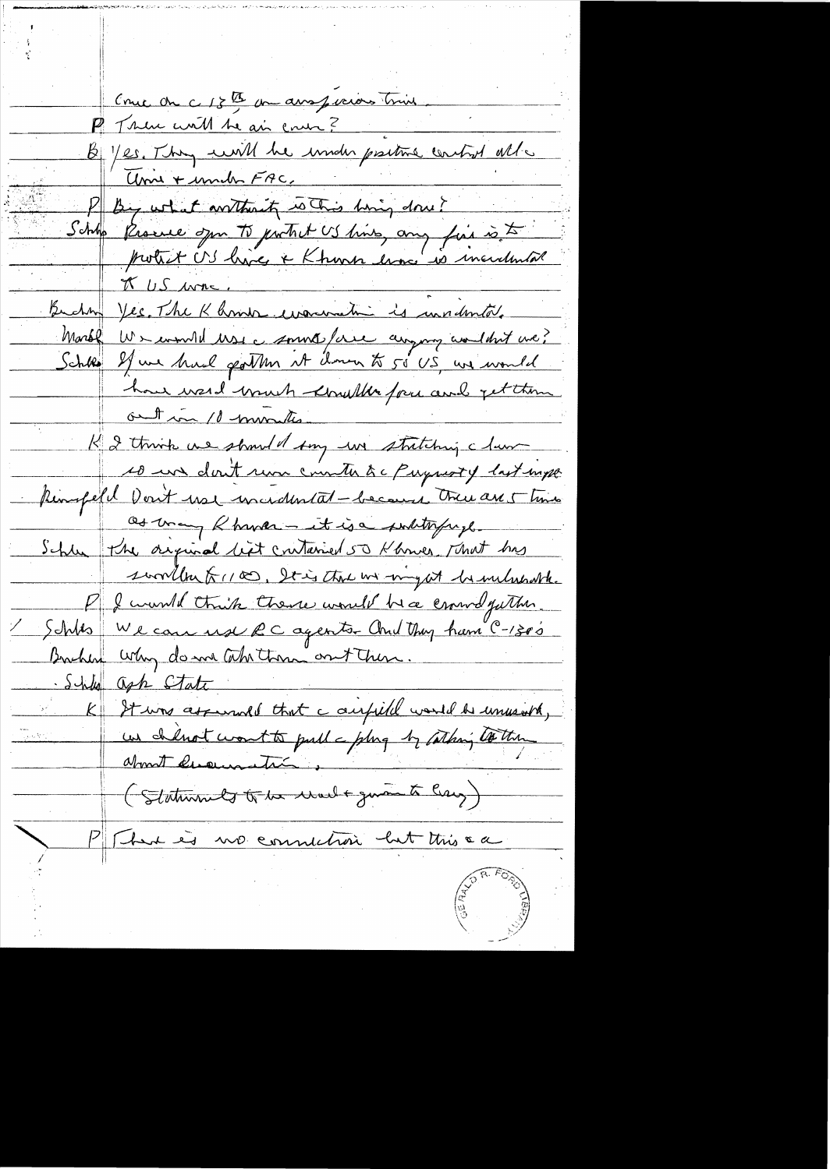Couce on c 18th un aussieurs trine P Trau with the air ener?<br>B / es. They will be inider prime control all P By what arthraity whis hing don't Schho Procede spr. To partret US hins, any fait is to Enchan Ves Marc, Morbl Wr would use a sound force anyong and that we? how wend wouch knowled for and get them out in 10 minutes K 2 think we should say we stritching claim 10 un don't run counter àc Paymoty last mpe Remofield Don't use uncedental-because there are 5 times as many Rhower - it is a subtryingle Schle the original list contained 50 Khowes, That has sworth from Stig that we might be milurable Pf & would think there would be a crown futher. 1 Septes We can use  $RC$  agents. And they ham  $C$ -1300 Brichen why do me this them ont them. She ash State K It was assumed that a airfield would be unusured, (Staturants to be walt guant lay) P Sur es no connution but this ca